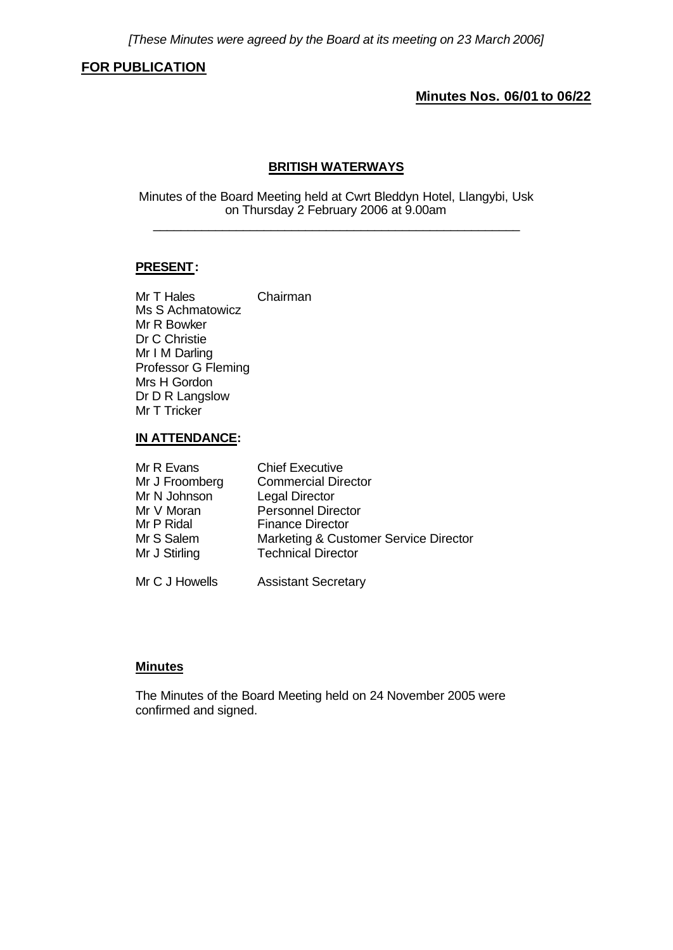## **FOR PUBLICATION**

## **Minutes Nos. 06/01 to 06/22**

### **BRITISH WATERWAYS**

Minutes of the Board Meeting held at Cwrt Bleddyn Hotel, Llangybi, Usk on Thursday 2 February 2006 at 9.00am \_\_\_\_\_\_\_\_\_\_\_\_\_\_\_\_\_\_\_\_\_\_\_\_\_\_\_\_\_\_\_\_\_\_\_\_\_\_\_\_\_\_\_\_\_\_\_\_\_\_\_\_\_

#### **PRESENT:**

Mr T Hales Chairman Ms S Achmatowicz Mr R Bowker Dr C Christie Mr I M Darling Professor G Fleming Mrs H Gordon Dr D R Langslow Mr T Tricker

## **IN ATTENDANCE:**

| Mr R Evans     | <b>Chief Executive</b>                |
|----------------|---------------------------------------|
| Mr J Froomberg | <b>Commercial Director</b>            |
| Mr N Johnson   | Legal Director                        |
| Mr V Moran     | <b>Personnel Director</b>             |
| Mr P Ridal     | <b>Finance Director</b>               |
| Mr S Salem     | Marketing & Customer Service Director |
| Mr J Stirling  | <b>Technical Director</b>             |
|                |                                       |
|                |                                       |

# Mr C J Howells Assistant Secretary

#### **Minutes**

The Minutes of the Board Meeting held on 24 November 2005 were confirmed and signed.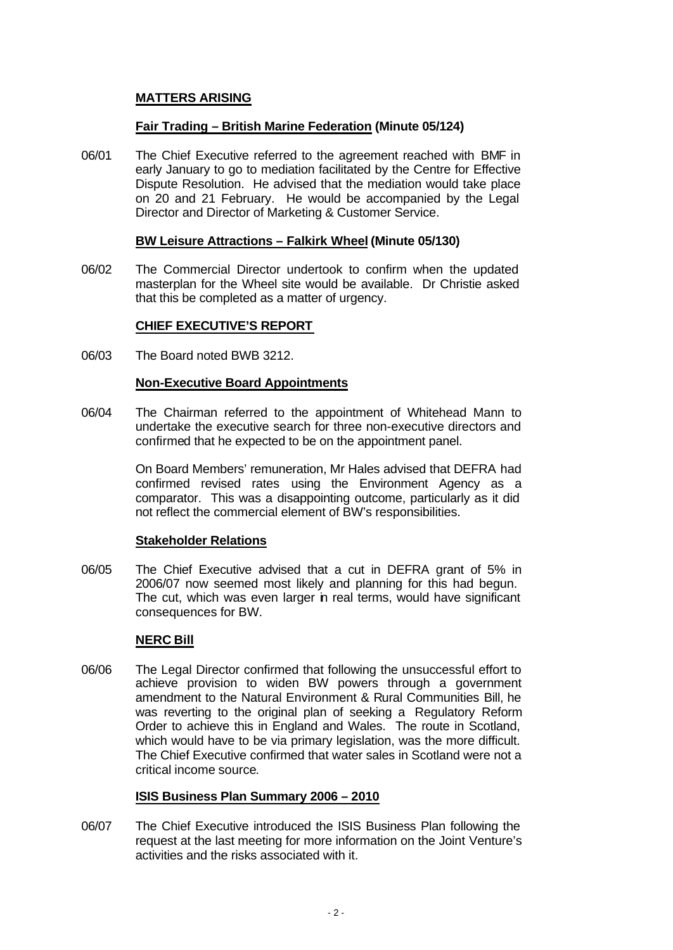## **MATTERS ARISING**

### **Fair Trading – British Marine Federation (Minute 05/124)**

06/01 The Chief Executive referred to the agreement reached with BMF in early January to go to mediation facilitated by the Centre for Effective Dispute Resolution. He advised that the mediation would take place on 20 and 21 February. He would be accompanied by the Legal Director and Director of Marketing & Customer Service.

#### **BW Leisure Attractions – Falkirk Wheel (Minute 05/130)**

06/02 The Commercial Director undertook to confirm when the updated masterplan for the Wheel site would be available. Dr Christie asked that this be completed as a matter of urgency.

### **CHIEF EXECUTIVE'S REPORT**

06/03 The Board noted BWB 3212.

### **Non-Executive Board Appointments**

06/04 The Chairman referred to the appointment of Whitehead Mann to undertake the executive search for three non-executive directors and confirmed that he expected to be on the appointment panel.

> On Board Members' remuneration, Mr Hales advised that DEFRA had confirmed revised rates using the Environment Agency as a comparator. This was a disappointing outcome, particularly as it did not reflect the commercial element of BW's responsibilities.

#### **Stakeholder Relations**

06/05 The Chief Executive advised that a cut in DEFRA grant of 5% in 2006/07 now seemed most likely and planning for this had begun. The cut, which was even larger in real terms, would have significant consequences for BW.

#### **NERC Bill**

06/06 The Legal Director confirmed that following the unsuccessful effort to achieve provision to widen BW powers through a government amendment to the Natural Environment & Rural Communities Bill, he was reverting to the original plan of seeking a Regulatory Reform Order to achieve this in England and Wales. The route in Scotland, which would have to be via primary legislation, was the more difficult. The Chief Executive confirmed that water sales in Scotland were not a critical income source.

## **ISIS Business Plan Summary 2006 – 2010**

06/07 The Chief Executive introduced the ISIS Business Plan following the request at the last meeting for more information on the Joint Venture's activities and the risks associated with it.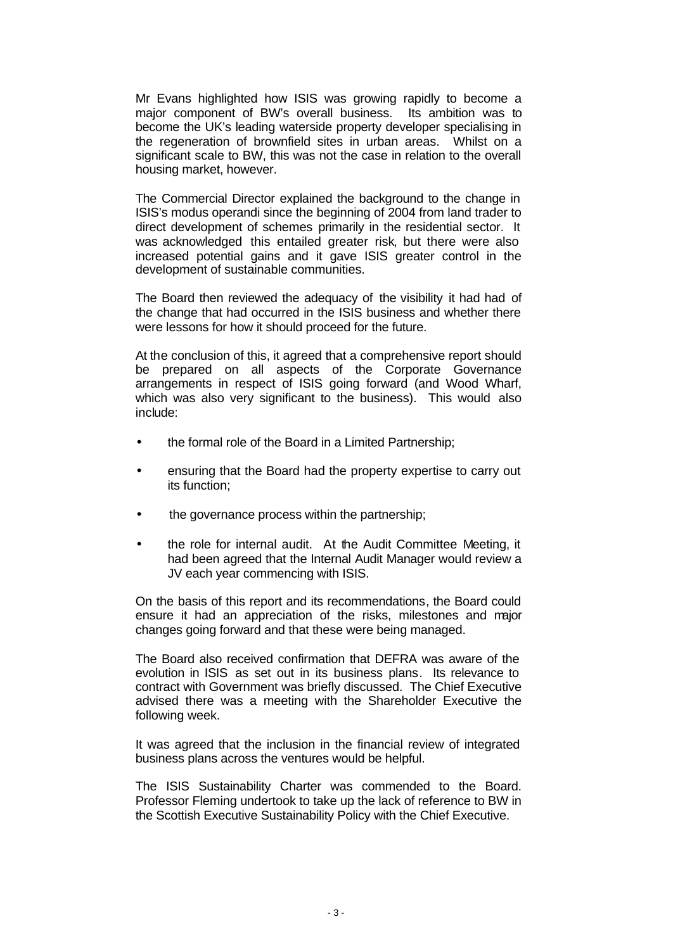Mr Evans highlighted how ISIS was growing rapidly to become a major component of BW's overall business. Its ambition was to become the UK's leading waterside property developer specialising in the regeneration of brownfield sites in urban areas. Whilst on a significant scale to BW, this was not the case in relation to the overall housing market, however.

The Commercial Director explained the background to the change in ISIS's modus operandi since the beginning of 2004 from land trader to direct development of schemes primarily in the residential sector. It was acknowledged this entailed greater risk, but there were also increased potential gains and it gave ISIS greater control in the development of sustainable communities.

The Board then reviewed the adequacy of the visibility it had had of the change that had occurred in the ISIS business and whether there were lessons for how it should proceed for the future.

At the conclusion of this, it agreed that a comprehensive report should be prepared on all aspects of the Corporate Governance arrangements in respect of ISIS going forward (and Wood Wharf, which was also very significant to the business). This would also include:

- the formal role of the Board in a Limited Partnership;
- ensuring that the Board had the property expertise to carry out its function;
- the governance process within the partnership;
- the role for internal audit. At the Audit Committee Meeting, it had been agreed that the Internal Audit Manager would review a JV each year commencing with ISIS.

On the basis of this report and its recommendations, the Board could ensure it had an appreciation of the risks, milestones and major changes going forward and that these were being managed.

The Board also received confirmation that DEFRA was aware of the evolution in ISIS as set out in its business plans. Its relevance to contract with Government was briefly discussed. The Chief Executive advised there was a meeting with the Shareholder Executive the following week.

It was agreed that the inclusion in the financial review of integrated business plans across the ventures would be helpful.

The ISIS Sustainability Charter was commended to the Board. Professor Fleming undertook to take up the lack of reference to BW in the Scottish Executive Sustainability Policy with the Chief Executive.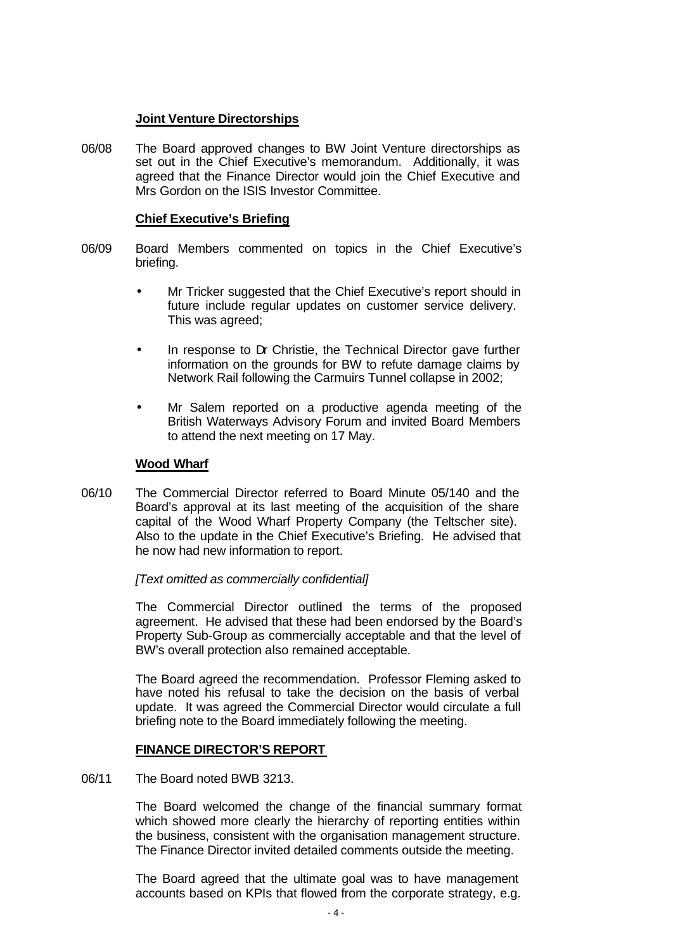### **Joint Venture Directorships**

06/08 The Board approved changes to BW Joint Venture directorships as set out in the Chief Executive's memorandum. Additionally, it was agreed that the Finance Director would join the Chief Executive and Mrs Gordon on the ISIS Investor Committee.

### **Chief Executive's Briefing**

- 06/09 Board Members commented on topics in the Chief Executive's briefing.
	- Mr Tricker suggested that the Chief Executive's report should in future include regular updates on customer service delivery. This was agreed;
	- In response to Dr Christie, the Technical Director gave further information on the grounds for BW to refute damage claims by Network Rail following the Carmuirs Tunnel collapse in 2002;
	- Mr Salem reported on a productive agenda meeting of the British Waterways Advisory Forum and invited Board Members to attend the next meeting on 17 May.

### **Wood Wharf**

06/10 The Commercial Director referred to Board Minute 05/140 and the Board's approval at its last meeting of the acquisition of the share capital of the Wood Wharf Property Company (the Teltscher site). Also to the update in the Chief Executive's Briefing. He advised that he now had new information to report.

*[Text omitted as commercially confidential]*

The Commercial Director outlined the terms of the proposed agreement. He advised that these had been endorsed by the Board's Property Sub-Group as commercially acceptable and that the level of BW's overall protection also remained acceptable.

The Board agreed the recommendation. Professor Fleming asked to have noted his refusal to take the decision on the basis of verbal update. It was agreed the Commercial Director would circulate a full briefing note to the Board immediately following the meeting.

## **FINANCE DIRECTOR'S REPORT**

06/11 The Board noted BWB 3213.

The Board welcomed the change of the financial summary format which showed more clearly the hierarchy of reporting entities within the business, consistent with the organisation management structure. The Finance Director invited detailed comments outside the meeting.

The Board agreed that the ultimate goal was to have management accounts based on KPIs that flowed from the corporate strategy, e.g.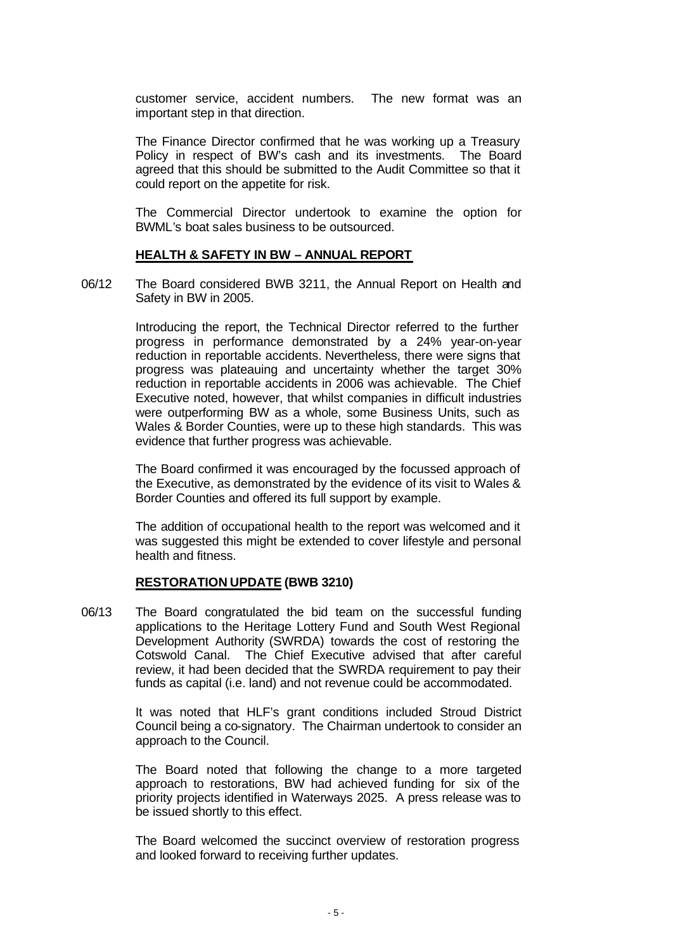customer service, accident numbers. The new format was an important step in that direction.

The Finance Director confirmed that he was working up a Treasury Policy in respect of BW's cash and its investments. The Board agreed that this should be submitted to the Audit Committee so that it could report on the appetite for risk.

The Commercial Director undertook to examine the option for BWML's boat sales business to be outsourced.

#### **HEALTH & SAFETY IN BW – ANNUAL REPORT**

06/12 The Board considered BWB 3211, the Annual Report on Health and Safety in BW in 2005.

> Introducing the report, the Technical Director referred to the further progress in performance demonstrated by a 24% year-on-year reduction in reportable accidents. Nevertheless, there were signs that progress was plateauing and uncertainty whether the target 30% reduction in reportable accidents in 2006 was achievable. The Chief Executive noted, however, that whilst companies in difficult industries were outperforming BW as a whole, some Business Units, such as Wales & Border Counties, were up to these high standards. This was evidence that further progress was achievable.

> The Board confirmed it was encouraged by the focussed approach of the Executive, as demonstrated by the evidence of its visit to Wales & Border Counties and offered its full support by example.

> The addition of occupational health to the report was welcomed and it was suggested this might be extended to cover lifestyle and personal health and fitness.

#### **RESTORATION UPDATE (BWB 3210)**

06/13 The Board congratulated the bid team on the successful funding applications to the Heritage Lottery Fund and South West Regional Development Authority (SWRDA) towards the cost of restoring the Cotswold Canal. The Chief Executive advised that after careful review, it had been decided that the SWRDA requirement to pay their funds as capital (i.e. land) and not revenue could be accommodated.

> It was noted that HLF's grant conditions included Stroud District Council being a co-signatory. The Chairman undertook to consider an approach to the Council.

> The Board noted that following the change to a more targeted approach to restorations, BW had achieved funding for six of the priority projects identified in Waterways 2025. A press release was to be issued shortly to this effect.

> The Board welcomed the succinct overview of restoration progress and looked forward to receiving further updates.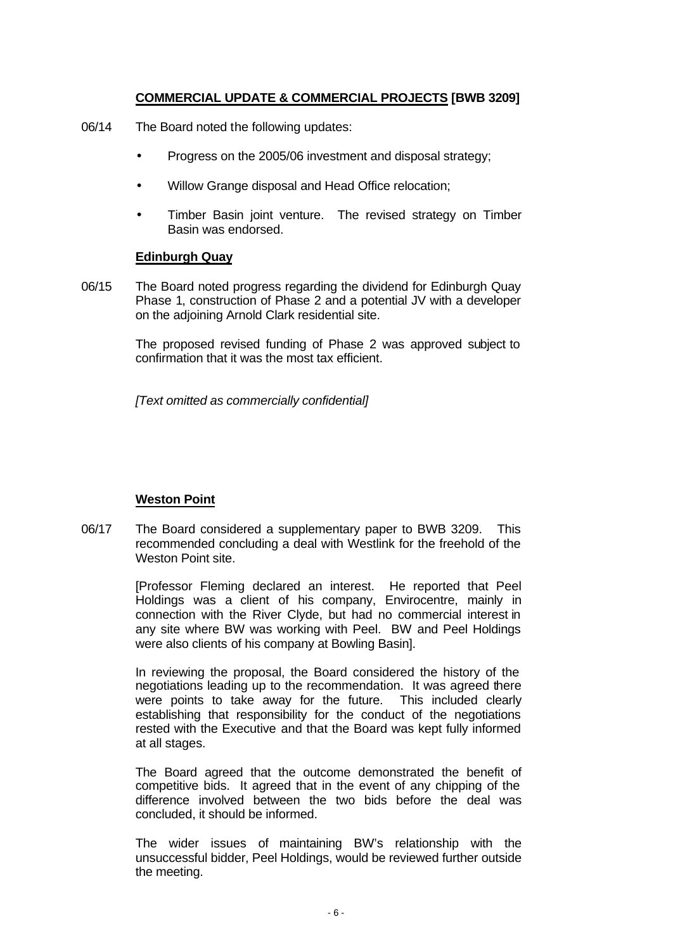## **COMMERCIAL UPDATE & COMMERCIAL PROJECTS [BWB 3209]**

- 06/14 The Board noted the following updates:
	- Progress on the 2005/06 investment and disposal strategy;
	- Willow Grange disposal and Head Office relocation;
	- Timber Basin joint venture. The revised strategy on Timber Basin was endorsed.

#### **Edinburgh Quay**

06/15 The Board noted progress regarding the dividend for Edinburgh Quay Phase 1, construction of Phase 2 and a potential JV with a developer on the adjoining Arnold Clark residential site.

> The proposed revised funding of Phase 2 was approved subject to confirmation that it was the most tax efficient.

*[Text omitted as commercially confidential]*

## **Weston Point**

06/17 The Board considered a supplementary paper to BWB 3209. This recommended concluding a deal with Westlink for the freehold of the Weston Point site.

> [Professor Fleming declared an interest. He reported that Peel Holdings was a client of his company, Envirocentre, mainly in connection with the River Clyde, but had no commercial interest in any site where BW was working with Peel. BW and Peel Holdings were also clients of his company at Bowling Basin].

> In reviewing the proposal, the Board considered the history of the negotiations leading up to the recommendation. It was agreed there were points to take away for the future. This included clearly establishing that responsibility for the conduct of the negotiations rested with the Executive and that the Board was kept fully informed at all stages.

> The Board agreed that the outcome demonstrated the benefit of competitive bids. It agreed that in the event of any chipping of the difference involved between the two bids before the deal was concluded, it should be informed.

> The wider issues of maintaining BW's relationship with the unsuccessful bidder, Peel Holdings, would be reviewed further outside the meeting.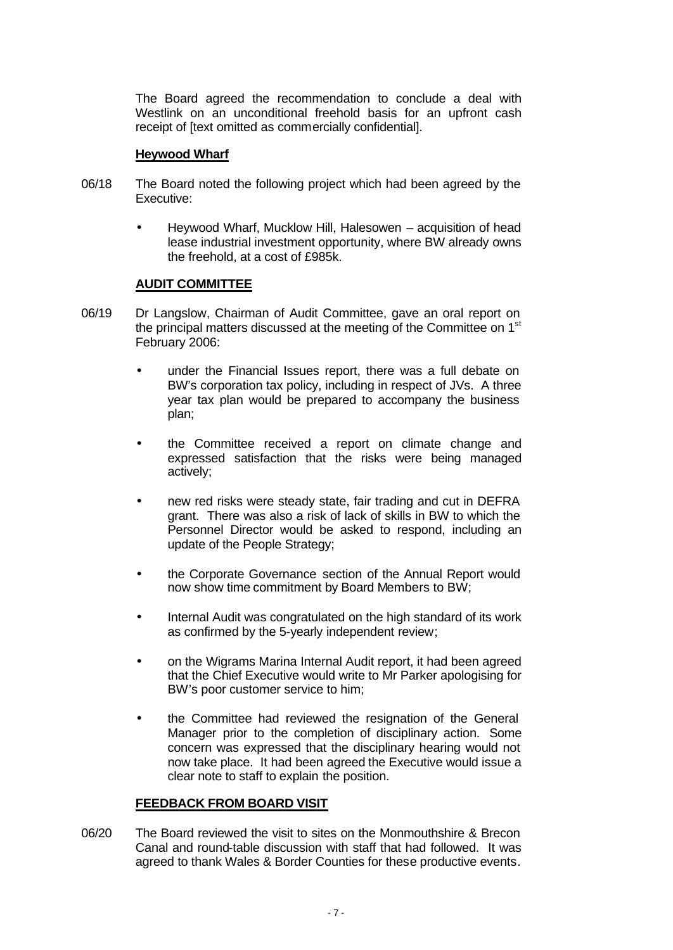The Board agreed the recommendation to conclude a deal with Westlink on an unconditional freehold basis for an upfront cash receipt of [text omitted as commercially confidential].

### **Heywood Wharf**

- 06/18 The Board noted the following project which had been agreed by the Executive:
	- Heywood Wharf, Mucklow Hill, Halesowen acquisition of head lease industrial investment opportunity, where BW already owns the freehold, at a cost of £985k.

### **AUDIT COMMITTEE**

- 06/19 Dr Langslow, Chairman of Audit Committee, gave an oral report on the principal matters discussed at the meeting of the Committee on 1<sup>st</sup> February 2006:
	- under the Financial Issues report, there was a full debate on BW's corporation tax policy, including in respect of JVs. A three year tax plan would be prepared to accompany the business plan;
	- the Committee received a report on climate change and expressed satisfaction that the risks were being managed actively;
	- new red risks were steady state, fair trading and cut in DEFRA grant. There was also a risk of lack of skills in BW to which the Personnel Director would be asked to respond, including an update of the People Strategy;
	- the Corporate Governance section of the Annual Report would now show time commitment by Board Members to BW;
	- Internal Audit was congratulated on the high standard of its work as confirmed by the 5-yearly independent review;
	- on the Wigrams Marina Internal Audit report, it had been agreed that the Chief Executive would write to Mr Parker apologising for BW's poor customer service to him;
	- the Committee had reviewed the resignation of the General Manager prior to the completion of disciplinary action. Some concern was expressed that the disciplinary hearing would not now take place. It had been agreed the Executive would issue a clear note to staff to explain the position.

## **FEEDBACK FROM BOARD VISIT**

06/20 The Board reviewed the visit to sites on the Monmouthshire & Brecon Canal and round-table discussion with staff that had followed. It was agreed to thank Wales & Border Counties for these productive events.